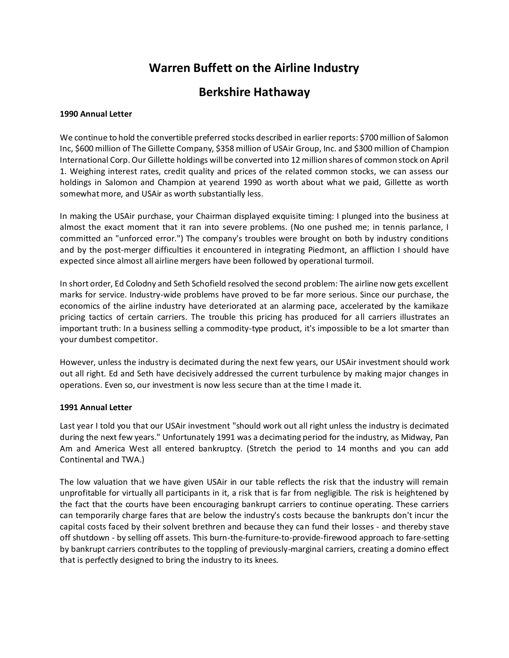# **Warren Buffett on the Airline Industry**

# **Berkshire Hathaway**

# **1990 Annual Letter**

We continue to hold the convertible preferred stocks described in earlier reports: \$700 million of Salomon Inc, \$600 million of The Gillette Company, \$358 million of USAir Group, Inc. and \$300 million of Champion International Corp. Our Gillette holdings will be converted into 12 million shares of common stock on April 1. Weighing interest rates, credit quality and prices of the related common stocks, we can assess our holdings in Salomon and Champion at yearend 1990 as worth about what we paid, Gillette as worth somewhat more, and USAir as worth substantially less.

In making the USAir purchase, your Chairman displayed exquisite timing: I plunged into the business at almost the exact moment that it ran into severe problems. (No one pushed me; in tennis parlance, I committed an "unforced error.") The company's troubles were brought on both by industry conditions and by the post-merger difficulties it encountered in integrating Piedmont, an affliction I should have expected since almost all airline mergers have been followed by operational turmoil.

In short order, Ed Colodny and Seth Schofield resolved the second problem: The airline now gets excellent marks for service. Industry-wide problems have proved to be far more serious. Since our purchase, the economics of the airline industry have deteriorated at an alarming pace, accelerated by the kamikaze pricing tactics of certain carriers. The trouble this pricing has produced for all carriers illustrates an important truth: In a business selling a commodity-type product, it's impossible to be a lot smarter than your dumbest competitor.

However, unless the industry is decimated during the next few years, our USAir investment should work out all right. Ed and Seth have decisively addressed the current turbulence by making major changes in operations. Even so, our investment is now less secure than at the time I made it.

# **1991 Annual Letter**

Last year I told you that our USAir investment "should work out all right unless the industry is decimated during the next few years." Unfortunately 1991 was a decimating period for the industry, as Midway, Pan Am and America West all entered bankruptcy. (Stretch the period to 14 months and you can add Continental and TWA.)

The low valuation that we have given USAir in our table reflects the risk that the industry will remain unprofitable for virtually all participants in it, a risk that is far from negligible. The risk is heightened by the fact that the courts have been encouraging bankrupt carriers to continue operating. These carriers can temporarily charge fares that are below the industry's costs because the bankrupts don't incur the capital costs faced by their solvent brethren and because they can fund their losses - and thereby stave off shutdown - by selling off assets. This burn-the-furniture-to-provide-firewood approach to fare-setting by bankrupt carriers contributes to the toppling of previously-marginal carriers, creating a domino effect that is perfectly designed to bring the industry to its knees.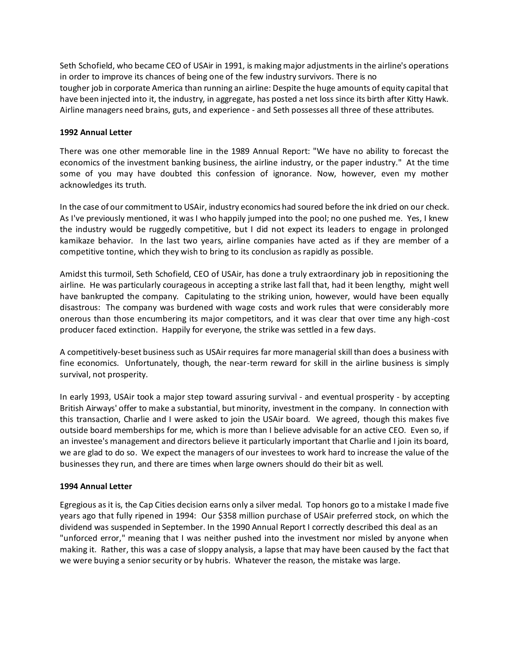Seth Schofield, who became CEO of USAir in 1991, is making major adjustments in the airline's operations in order to improve its chances of being one of the few industry survivors. There is no tougher job in corporate America than running an airline: Despite the huge amounts of equity capital that have been injected into it, the industry, in aggregate, has posted a net loss since its birth after Kitty Hawk. Airline managers need brains, guts, and experience - and Seth possesses all three of these attributes.

# **1992 Annual Letter**

There was one other memorable line in the 1989 Annual Report: "We have no ability to forecast the economics of the investment banking business, the airline industry, or the paper industry." At the time some of you may have doubted this confession of ignorance. Now, however, even my mother acknowledges its truth.

In the case of our commitment to USAir, industry economics had soured before the ink dried on our check. As I've previously mentioned, it was I who happily jumped into the pool; no one pushed me. Yes, I knew the industry would be ruggedly competitive, but I did not expect its leaders to engage in prolonged kamikaze behavior. In the last two years, airline companies have acted as if they are member of a competitive tontine, which they wish to bring to its conclusion as rapidly as possible.

Amidst this turmoil, Seth Schofield, CEO of USAir, has done a truly extraordinary job in repositioning the airline. He was particularly courageous in accepting a strike last fall that, had it been lengthy, might well have bankrupted the company. Capitulating to the striking union, however, would have been equally disastrous: The company was burdened with wage costs and work rules that were considerably more onerous than those encumbering its major competitors, and it was clear that over time any high-cost producer faced extinction. Happily for everyone, the strike was settled in a few days.

A competitively-beset business such as USAir requires far more managerial skill than does a business with fine economics. Unfortunately, though, the near-term reward for skill in the airline business is simply survival, not prosperity.

In early 1993, USAir took a major step toward assuring survival - and eventual prosperity - by accepting British Airways' offer to make a substantial, but minority, investment in the company. In connection with this transaction, Charlie and I were asked to join the USAir board. We agreed, though this makes five outside board memberships for me, which is more than I believe advisable for an active CEO. Even so, if an investee's management and directors believe it particularly important that Charlie and I join its board, we are glad to do so. We expect the managers of our investees to work hard to increase the value of the businesses they run, and there are times when large owners should do their bit as well.

# **1994 Annual Letter**

Egregious as it is, the Cap Cities decision earns only a silver medal. Top honors go to a mistake I made five years ago that fully ripened in 1994: Our \$358 million purchase of USAir preferred stock, on which the dividend was suspended in September. In the 1990 Annual Report I correctly described this deal as an "unforced error," meaning that I was neither pushed into the investment nor misled by anyone when making it. Rather, this was a case of sloppy analysis, a lapse that may have been caused by the fact that we were buying a senior security or by hubris. Whatever the reason, the mistake was large.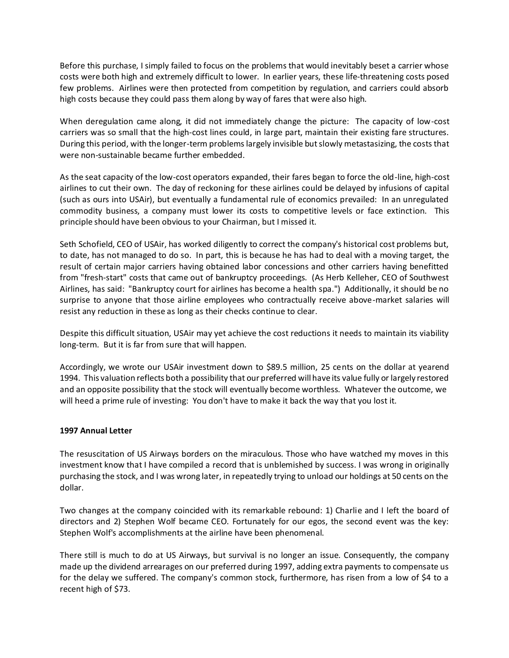Before this purchase, I simply failed to focus on the problems that would inevitably beset a carrier whose costs were both high and extremely difficult to lower. In earlier years, these life-threatening costs posed few problems. Airlines were then protected from competition by regulation, and carriers could absorb high costs because they could pass them along by way of fares that were also high.

When deregulation came along, it did not immediately change the picture: The capacity of low-cost carriers was so small that the high-cost lines could, in large part, maintain their existing fare structures. During this period, with the longer-term problems largely invisible but slowly metastasizing, the costs that were non-sustainable became further embedded.

As the seat capacity of the low-cost operators expanded, their fares began to force the old-line, high-cost airlines to cut their own. The day of reckoning for these airlines could be delayed by infusions of capital (such as ours into USAir), but eventually a fundamental rule of economics prevailed: In an unregulated commodity business, a company must lower its costs to competitive levels or face extinction. This principle should have been obvious to your Chairman, but I missed it.

Seth Schofield, CEO of USAir, has worked diligently to correct the company's historical cost problems but, to date, has not managed to do so. In part, this is because he has had to deal with a moving target, the result of certain major carriers having obtained labor concessions and other carriers having benefitted from "fresh-start" costs that came out of bankruptcy proceedings. (As Herb Kelleher, CEO of Southwest Airlines, has said: "Bankruptcy court for airlines has become a health spa.") Additionally, it should be no surprise to anyone that those airline employees who contractually receive above-market salaries will resist any reduction in these as long as their checks continue to clear.

Despite this difficult situation, USAir may yet achieve the cost reductions it needs to maintain its viability long-term. But it is far from sure that will happen.

Accordingly, we wrote our USAir investment down to \$89.5 million, 25 cents on the dollar at yearend 1994. This valuation reflects both a possibility that our preferred will have its value fully or largely restored and an opposite possibility that the stock will eventually become worthless. Whatever the outcome, we will heed a prime rule of investing: You don't have to make it back the way that you lost it.

# **1997 Annual Letter**

The resuscitation of US Airways borders on the miraculous. Those who have watched my moves in this investment know that I have compiled a record that is unblemished by success. I was wrong in originally purchasing the stock, and I was wrong later, in repeatedly trying to unload our holdings at 50 cents on the dollar.

Two changes at the company coincided with its remarkable rebound: 1) Charlie and I left the board of directors and 2) Stephen Wolf became CEO. Fortunately for our egos, the second event was the key: Stephen Wolf's accomplishments at the airline have been phenomenal.

There still is much to do at US Airways, but survival is no longer an issue. Consequently, the company made up the dividend arrearages on our preferred during 1997, adding extra payments to compensate us for the delay we suffered. The company's common stock, furthermore, has risen from a low of \$4 to a recent high of \$73.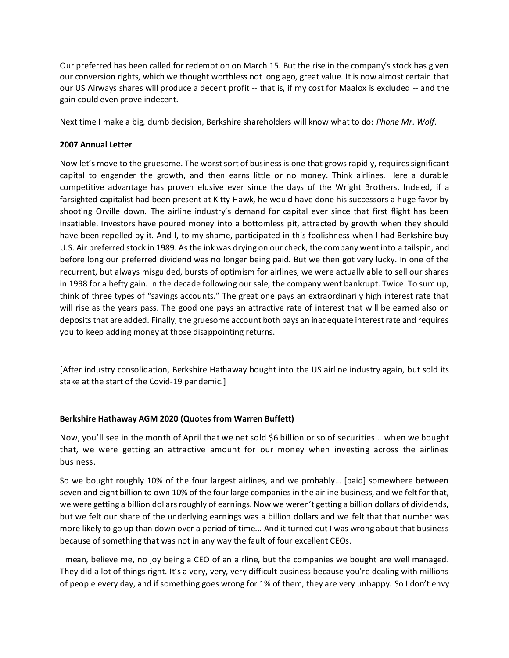Our preferred has been called for redemption on March 15. But the rise in the company's stock has given our conversion rights, which we thought worthless not long ago, great value. It is now almost certain that our US Airways shares will produce a decent profit -- that is, if my cost for Maalox is excluded -- and the gain could even prove indecent.

Next time I make a big, dumb decision, Berkshire shareholders will know what to do: *Phone Mr. Wolf*.

# **2007 Annual Letter**

Now let's move to the gruesome. The worst sort of business is one that grows rapidly, requires significant capital to engender the growth, and then earns little or no money. Think airlines. Here a durable competitive advantage has proven elusive ever since the days of the Wright Brothers. Indeed, if a farsighted capitalist had been present at Kitty Hawk, he would have done his successors a huge favor by shooting Orville down. The airline industry's demand for capital ever since that first flight has been insatiable. Investors have poured money into a bottomless pit, attracted by growth when they should have been repelled by it. And I, to my shame, participated in this foolishness when I had Berkshire buy U.S. Air preferred stock in 1989. As the ink was drying on our check, the company went into a tailspin, and before long our preferred dividend was no longer being paid. But we then got very lucky. In one of the recurrent, but always misguided, bursts of optimism for airlines, we were actually able to sell our shares in 1998 for a hefty gain. In the decade following our sale, the company went bankrupt. Twice. To sum up, think of three types of "savings accounts." The great one pays an extraordinarily high interest rate that will rise as the years pass. The good one pays an attractive rate of interest that will be earned also on deposits that are added. Finally, the gruesome account both pays an inadequate interest rate and requires you to keep adding money at those disappointing returns.

[After industry consolidation, Berkshire Hathaway bought into the US airline industry again, but sold its stake at the start of the Covid-19 pandemic.]

# **Berkshire Hathaway AGM 2020 (Quotes from Warren Buffett)**

Now, you'll see in the month of April that we net sold \$6 billion or so of securities… when we bought that, we were getting an attractive amount for our money when investing across the airlines business.

So we bought roughly 10% of the four largest airlines, and we probably… [paid] somewhere between seven and eight billion to own 10% of the four large companies in the airline business, and we felt for that, we were getting a billion dollars roughly of earnings. Now we weren't getting a billion dollars of dividends, but we felt our share of the underlying earnings was a billion dollars and we felt that that number was more likely to go up than down over a period of time... And it turned out I was wrong about that business because of something that was not in any way the fault of four excellent CEOs.

I mean, believe me, no joy being a CEO of an airline, but the companies we bought are well managed. They did a lot of things right. It's a very, very, very difficult business because you're dealing with millions of people every day, and if something goes wrong for 1% of them, they are very unhappy. So I don't envy